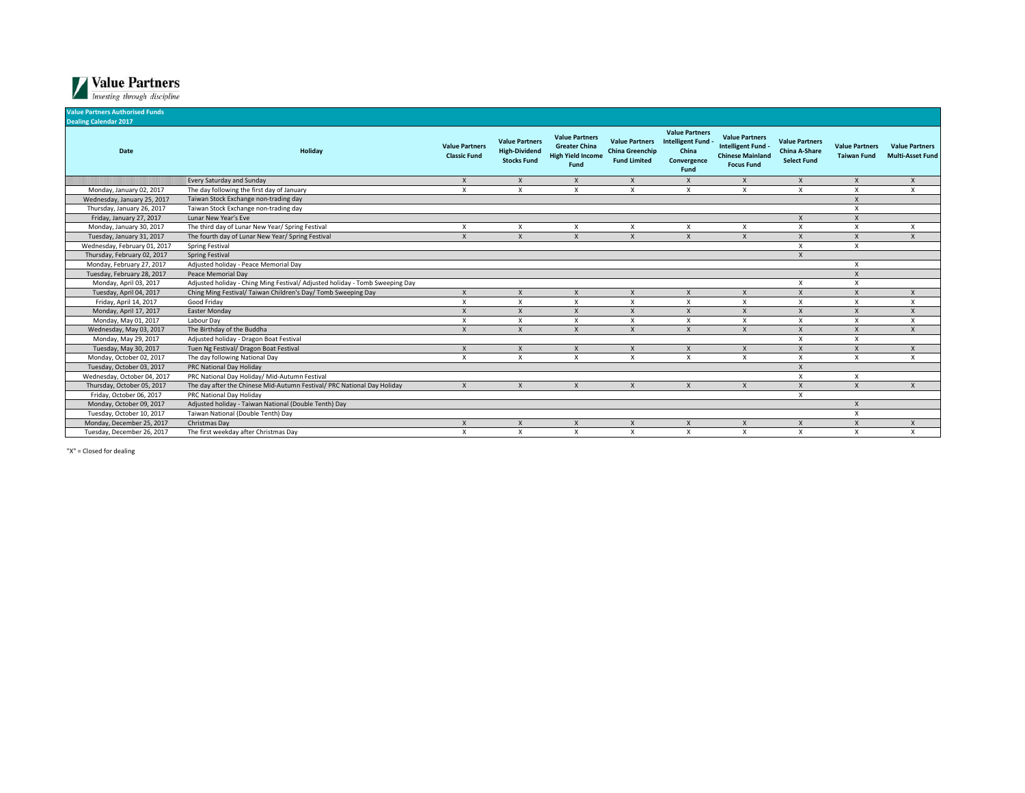

| <b>Value Partners Authorised Funds</b><br><b>Dealing Calendar 2017</b> |                                                                              |                                              |                                                                     |                                                                                   |                                                                        |                                                                             |                                                                                             |                                                              |                                             |                                                  |
|------------------------------------------------------------------------|------------------------------------------------------------------------------|----------------------------------------------|---------------------------------------------------------------------|-----------------------------------------------------------------------------------|------------------------------------------------------------------------|-----------------------------------------------------------------------------|---------------------------------------------------------------------------------------------|--------------------------------------------------------------|---------------------------------------------|--------------------------------------------------|
| Date                                                                   | Holiday                                                                      | <b>Value Partners</b><br><b>Classic Fund</b> | <b>Value Partners</b><br><b>High-Dividend</b><br><b>Stocks Fund</b> | <b>Value Partners</b><br><b>Greater China</b><br><b>High Yield Income</b><br>Fund | <b>Value Partners</b><br><b>China Greenchip</b><br><b>Fund Limited</b> | <b>Value Partners</b><br>Intelligent Fund -<br>China<br>Convergence<br>Fund | <b>Value Partners</b><br>Intelligent Fund -<br><b>Chinese Mainland</b><br><b>Focus Fund</b> | <b>Value Partners</b><br>China A-Share<br><b>Select Fund</b> | <b>Value Partners</b><br><b>Taiwan Fund</b> | <b>Value Partners</b><br><b>Multi-Asset Fund</b> |
|                                                                        | <b>Every Saturday and Sunday</b>                                             | X                                            | $\boldsymbol{\mathsf{X}}$                                           | $\mathsf{x}$                                                                      | X                                                                      | $\mathsf{x}$                                                                | $\mathsf{x}$                                                                                | $\mathsf{x}$                                                 | $\boldsymbol{\mathsf{X}}$                   | X                                                |
| Monday, January 02, 2017                                               | The day following the first day of January                                   | X                                            | $\boldsymbol{\mathsf{x}}$                                           | $\boldsymbol{\mathsf{x}}$                                                         | X                                                                      | x                                                                           | X                                                                                           | X                                                            | $\boldsymbol{\mathsf{x}}$                   | X                                                |
| Wednesday, January 25, 2017                                            | Taiwan Stock Exchange non-trading day                                        |                                              |                                                                     |                                                                                   |                                                                        |                                                                             |                                                                                             |                                                              | $\boldsymbol{\mathsf{X}}$                   |                                                  |
| Thursday, January 26, 2017                                             | Taiwan Stock Exchange non-trading day                                        |                                              |                                                                     |                                                                                   |                                                                        |                                                                             |                                                                                             |                                                              | $\boldsymbol{\mathsf{x}}$                   |                                                  |
| Friday, January 27, 2017                                               | Lunar New Year's Eve                                                         |                                              |                                                                     |                                                                                   |                                                                        |                                                                             |                                                                                             | $\boldsymbol{\mathsf{X}}$                                    | $\mathsf{x}$                                |                                                  |
| Monday, January 30, 2017                                               | The third day of Lunar New Year/ Spring Festival                             | X                                            | $\boldsymbol{\mathsf{x}}$                                           | X                                                                                 | X                                                                      | $\boldsymbol{\mathsf{x}}$                                                   | X                                                                                           | $\boldsymbol{\mathsf{x}}$                                    | X                                           | $\boldsymbol{\mathsf{x}}$                        |
| Tuesday, January 31, 2017                                              | The fourth day of Lunar New Year/ Spring Festival                            | $\mathsf{x}$                                 | $\boldsymbol{\mathsf{x}}$                                           | $\boldsymbol{\mathsf{x}}$                                                         | $\mathsf{x}$                                                           | $\mathsf{x}$                                                                |                                                                                             | $\boldsymbol{\mathsf{x}}$                                    | $\boldsymbol{\mathsf{x}}$                   | $\boldsymbol{\mathsf{x}}$                        |
| Wednesday, February 01, 2017                                           | <b>Spring Festival</b>                                                       |                                              |                                                                     |                                                                                   |                                                                        |                                                                             |                                                                                             | $\boldsymbol{\mathsf{x}}$                                    | $\boldsymbol{\mathsf{x}}$                   |                                                  |
| Thursday, February 02, 2017                                            | <b>Spring Festival</b>                                                       |                                              |                                                                     |                                                                                   |                                                                        |                                                                             |                                                                                             | $\boldsymbol{\mathsf{x}}$                                    |                                             |                                                  |
| Monday, February 27, 2017                                              | Adjusted holiday - Peace Memorial Day                                        |                                              |                                                                     |                                                                                   |                                                                        |                                                                             |                                                                                             |                                                              | $\boldsymbol{\mathsf{x}}$                   |                                                  |
| Tuesday, February 28, 2017                                             | Peace Memorial Dav                                                           |                                              |                                                                     |                                                                                   |                                                                        |                                                                             |                                                                                             |                                                              | $\boldsymbol{\mathsf{x}}$                   |                                                  |
| Monday, April 03, 2017                                                 | Adjusted holiday - Ching Ming Festival/ Adjusted holiday - Tomb Sweeping Day |                                              |                                                                     |                                                                                   |                                                                        |                                                                             |                                                                                             | X                                                            | X                                           |                                                  |
| Tuesday, April 04, 2017                                                | Ching Ming Festival/ Taiwan Children's Day/ Tomb Sweeping Day                | X                                            | $\mathsf{x}$                                                        | $\mathsf{x}$                                                                      | $\mathsf{X}$                                                           | $\mathsf{x}$                                                                | $\mathsf{x}$                                                                                | $\boldsymbol{\mathsf{x}}$                                    | $\boldsymbol{\mathsf{x}}$                   | $\times$                                         |
| Friday, April 14, 2017                                                 | Good Friday                                                                  | X                                            | Χ                                                                   | $\boldsymbol{\mathsf{x}}$                                                         | X                                                                      | $\mathsf{x}$                                                                | X                                                                                           | X                                                            | $\boldsymbol{\mathsf{x}}$                   | X                                                |
| Monday, April 17, 2017                                                 | <b>Easter Monday</b>                                                         | X                                            | $\times$                                                            | $\times$                                                                          | $\mathsf{x}$                                                           | $\mathsf{x}$                                                                |                                                                                             | $\boldsymbol{\mathsf{X}}$                                    | $\times$                                    | $\mathsf{X}$                                     |
| Monday, May 01, 2017                                                   | Labour Dav                                                                   | $\mathsf{x}$                                 | $\mathsf{x}$                                                        | $\times$                                                                          | X                                                                      | x                                                                           | X                                                                                           | $\times$                                                     | X                                           | $\times$                                         |
| Wednesday, May 03, 2017                                                | The Birthday of the Buddha                                                   | $\mathsf{x}$                                 | $\mathsf{x}$                                                        | $\mathsf{x}$                                                                      | $\mathsf{x}$                                                           | $\mathsf{x}$                                                                | X                                                                                           | $\boldsymbol{\mathsf{x}}$                                    | $\boldsymbol{\mathsf{x}}$                   | $\mathsf{x}$                                     |
| Monday, May 29, 2017                                                   | Adjusted holiday - Dragon Boat Festival                                      |                                              |                                                                     |                                                                                   |                                                                        |                                                                             |                                                                                             | $\boldsymbol{\mathsf{x}}$                                    | $\boldsymbol{\mathsf{x}}$                   |                                                  |
| Tuesday, May 30, 2017                                                  | Tuen Ng Festival/ Dragon Boat Festival                                       |                                              | $\boldsymbol{\mathsf{x}}$                                           | $\boldsymbol{\mathsf{x}}$                                                         |                                                                        | $\mathbf{x}$                                                                |                                                                                             |                                                              | $\boldsymbol{\mathsf{x}}$                   | $\boldsymbol{\mathsf{X}}$                        |
| Monday, October 02, 2017                                               | The day following National Day                                               | x                                            | $\mathsf{x}$                                                        | X                                                                                 | x                                                                      | x                                                                           | X                                                                                           | X                                                            | $\boldsymbol{\mathsf{x}}$                   | X                                                |
| Tuesday, October 03, 2017                                              | PRC National Day Holiday                                                     |                                              |                                                                     |                                                                                   |                                                                        |                                                                             |                                                                                             | $\boldsymbol{\mathsf{x}}$                                    |                                             |                                                  |
| Wednesday, October 04, 2017                                            | PRC National Day Holiday/ Mid-Autumn Festival                                |                                              |                                                                     |                                                                                   |                                                                        |                                                                             |                                                                                             | $\boldsymbol{\mathsf{x}}$                                    | $\boldsymbol{\mathsf{x}}$                   |                                                  |
| Thursday, October 05, 2017                                             | The day after the Chinese Mid-Autumn Festival/ PRC National Day Holiday      |                                              |                                                                     | $\times$                                                                          | $\mathsf{x}$                                                           | X                                                                           |                                                                                             | $\boldsymbol{\mathsf{X}}$                                    | $\boldsymbol{\mathsf{x}}$                   | X                                                |
| Friday, October 06, 2017                                               | PRC National Day Holiday                                                     |                                              |                                                                     |                                                                                   |                                                                        |                                                                             |                                                                                             | X                                                            |                                             |                                                  |
| Monday, October 09, 2017                                               | Adjusted holiday - Taiwan National (Double Tenth) Day                        |                                              |                                                                     |                                                                                   |                                                                        |                                                                             |                                                                                             |                                                              | $\boldsymbol{\mathsf{X}}$                   |                                                  |
| Tuesday, October 10, 2017                                              | Taiwan National (Double Tenth) Day                                           |                                              |                                                                     |                                                                                   |                                                                        |                                                                             |                                                                                             |                                                              | $\boldsymbol{\mathsf{x}}$                   |                                                  |
| Monday, December 25, 2017                                              | Christmas Day                                                                | X                                            |                                                                     |                                                                                   |                                                                        |                                                                             |                                                                                             | $\times$                                                     | X                                           | X                                                |
| Tuesday, December 26, 2017                                             | The first weekday after Christmas Day                                        | x                                            | $\boldsymbol{\mathsf{x}}$                                           | $\boldsymbol{\mathsf{x}}$                                                         | X                                                                      | $\mathsf{x}$                                                                | x                                                                                           | $\boldsymbol{\mathsf{x}}$                                    | $\boldsymbol{\mathsf{x}}$                   | X                                                |

"X" = Closed for dealing